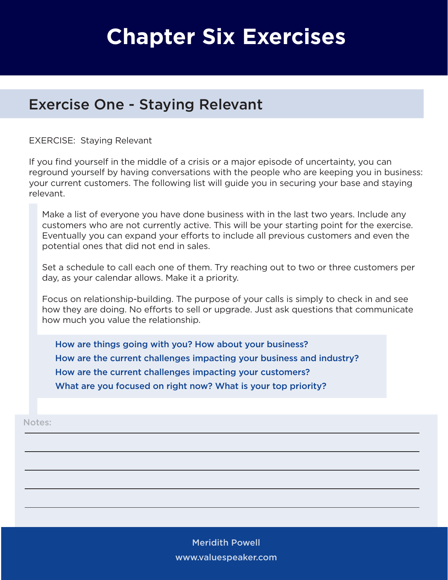## **Chapter Six Exercises**

## Exercise One - Staying Relevant

EXERCISE: Staying Relevant

If you find yourself in the middle of a crisis or a major episode of uncertainty, you can reground yourself by having conversations with the people who are keeping you in business: your current customers. The following list will guide you in securing your base and staying relevant.

Make a list of everyone you have done business with in the last two years. Include any customers who are not currently active. This will be your starting point for the exercise. Eventually you can expand your efforts to include all previous customers and even the potential ones that did not end in sales.

Set a schedule to call each one of them. Try reaching out to two or three customers per day, as your calendar allows. Make it a priority.

Focus on relationship-building. The purpose of your calls is simply to check in and see how they are doing. No efforts to sell or upgrade. Just ask questions that communicate how much you value the relationship.

How are things going with you? How about your business? How are the current challenges impacting your business and industry? How are the current challenges impacting your customers? What are you focused on right now? What is your top priority?

Notes:

Meridith Powell www.valuespeaker.com